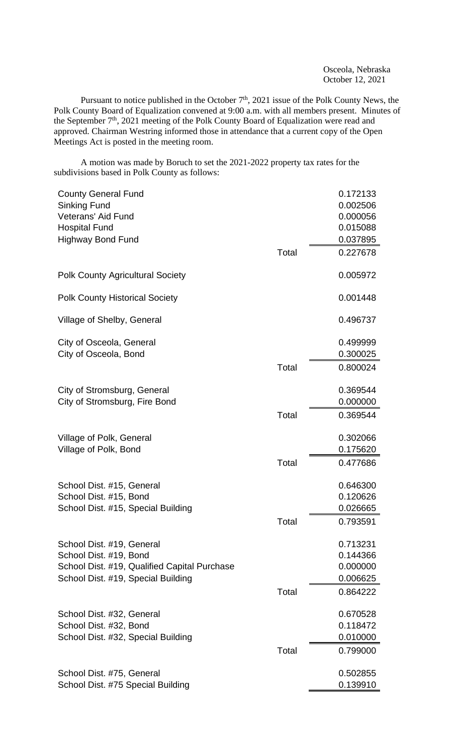Osceola, Nebraska October 12, 2021

Pursuant to notice published in the October  $7<sup>th</sup>$ , 2021 issue of the Polk County News, the Polk County Board of Equalization convened at 9:00 a.m. with all members present. Minutes of the September  $7<sup>th</sup>$ , 2021 meeting of the Polk County Board of Equalization were read and approved. Chairman Westring informed those in attendance that a current copy of the Open Meetings Act is posted in the meeting room.

A motion was made by Boruch to set the 2021-2022 property tax rates for the subdivisions based in Polk County as follows:

| <b>County General Fund</b>                   |       | 0.172133 |
|----------------------------------------------|-------|----------|
| <b>Sinking Fund</b>                          |       | 0.002506 |
| <b>Veterans' Aid Fund</b>                    |       | 0.000056 |
| <b>Hospital Fund</b>                         |       | 0.015088 |
| <b>Highway Bond Fund</b>                     |       | 0.037895 |
|                                              | Total | 0.227678 |
| <b>Polk County Agricultural Society</b>      |       | 0.005972 |
| <b>Polk County Historical Society</b>        |       | 0.001448 |
| Village of Shelby, General                   |       | 0.496737 |
| City of Osceola, General                     |       | 0.499999 |
| City of Osceola, Bond                        |       | 0.300025 |
|                                              | Total | 0.800024 |
| City of Stromsburg, General                  |       | 0.369544 |
| City of Stromsburg, Fire Bond                |       | 0.000000 |
|                                              | Total | 0.369544 |
| Village of Polk, General                     |       | 0.302066 |
| Village of Polk, Bond                        |       | 0.175620 |
|                                              | Total | 0.477686 |
| School Dist. #15, General                    |       | 0.646300 |
| School Dist. #15, Bond                       |       | 0.120626 |
| School Dist. #15, Special Building           |       | 0.026665 |
|                                              | Total | 0.793591 |
| School Dist. #19, General                    |       | 0.713231 |
| School Dist. #19, Bond                       |       | 0.144366 |
| School Dist. #19, Qualified Capital Purchase |       | 0.000000 |
| School Dist. #19, Special Building           |       | 0.006625 |
|                                              | Total | 0.864222 |
|                                              |       |          |
| School Dist. #32, General                    |       | 0.670528 |
| School Dist. #32, Bond                       |       | 0.118472 |
| School Dist. #32, Special Building           |       | 0.010000 |
|                                              | Total | 0.799000 |
| School Dist. #75, General                    |       | 0.502855 |
| School Dist. #75 Special Building            |       | 0.139910 |